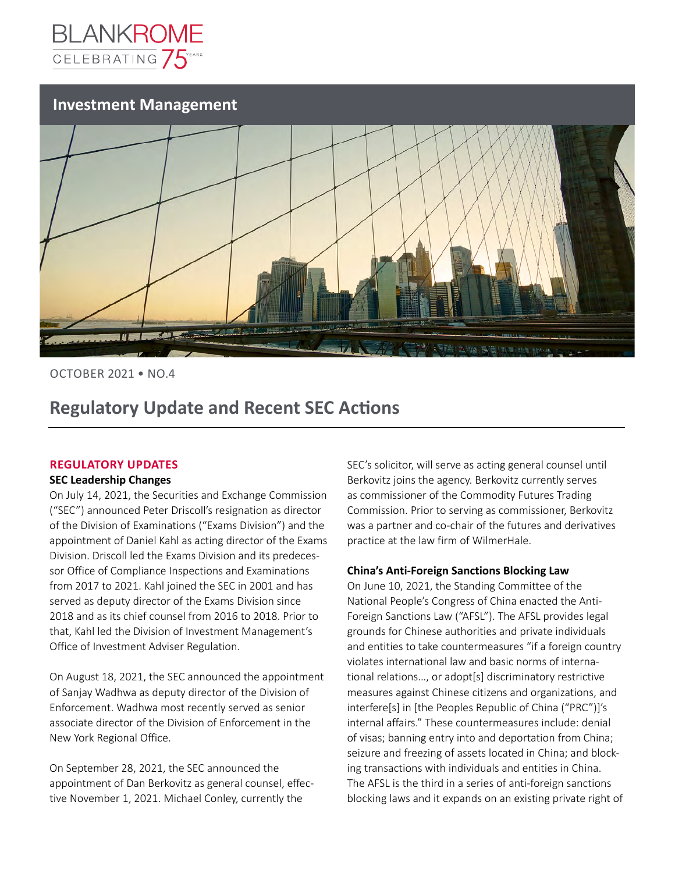

## **Investment Management**



OCTOBER 2021 • NO.4

## **Regulatory Update and Recent SEC Actions**

## **REGULATORY UPDATES**

#### **SEC Leadership Changes**

On July 14, 2021, the Securities and Exchange Commission ("SEC") announced Peter Driscoll's resignation as director of the Division of Examinations ("Exams Division") and the appointment of Daniel Kahl as acting director of the Exams Division. Driscoll led the Exams Division and its predecessor Office of Compliance Inspections and Examinations from 2017 to 2021. Kahl joined the SEC in 2001 and has served as deputy director of the Exams Division since 2018 and as its chief counsel from 2016 to 2018. Prior to that, Kahl led the Division of Investment Management's Office of Investment Adviser Regulation.

On August 18, 2021, the SEC announced the appointment of Sanjay Wadhwa as deputy director of the Division of Enforcement. Wadhwa most recently served as senior associate director of the Division of Enforcement in the New York Regional Office.

On September 28, 2021, the SEC announced the appointment of Dan Berkovitz as general counsel, effective November 1, 2021. Michael Conley, currently the

SEC's solicitor, will serve as acting general counsel until Berkovitz joins the agency. Berkovitz currently serves as commissioner of the Commodity Futures Trading Commission. Prior to serving as commissioner, Berkovitz was a partner and co-chair of the futures and derivatives practice at the law firm of WilmerHale.

#### **China's Anti-Foreign Sanctions Blocking Law**

On June 10, 2021, the Standing Committee of the National People's Congress of China enacted the Anti-Foreign Sanctions Law ("AFSL"). The AFSL provides legal grounds for Chinese authorities and private individuals and entities to take countermeasures "if a foreign country violates international law and basic norms of international relations…, or adopt[s] discriminatory restrictive measures against Chinese citizens and organizations, and interfere[s] in [the Peoples Republic of China ("PRC")]'s internal affairs." These countermeasures include: denial of visas; banning entry into and deportation from China; seizure and freezing of assets located in China; and blocking transactions with individuals and entities in China. The AFSL is the third in a series of anti-foreign sanctions blocking laws and it expands on an existing private right of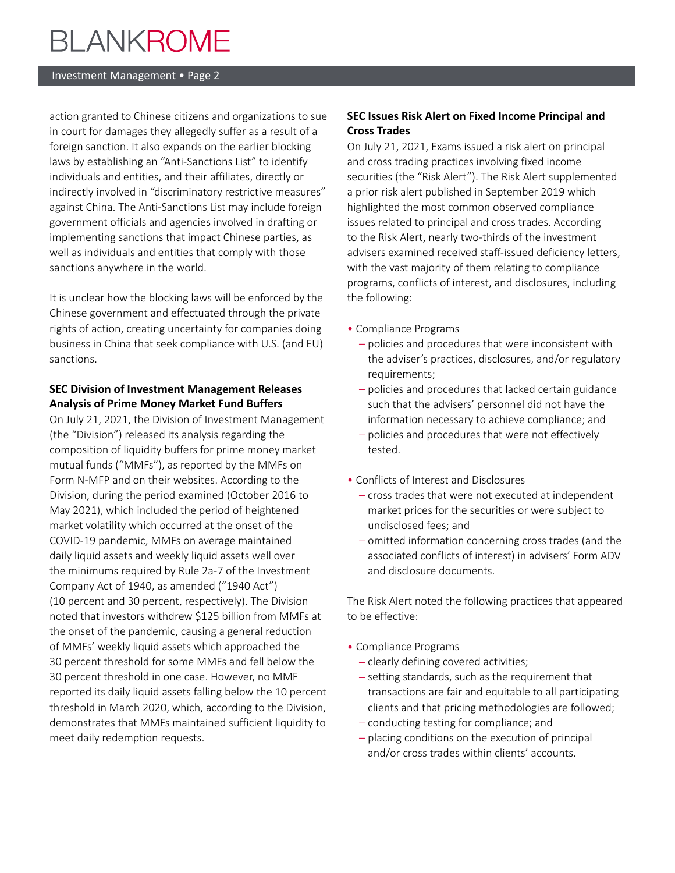#### Investment Management • Page 2

action granted to Chinese citizens and organizations to sue in court for damages they allegedly suffer as a result of a foreign sanction. It also expands on the earlier blocking laws by establishing an "Anti-Sanctions List" to identify individuals and entities, and their affiliates, directly or indirectly involved in "discriminatory restrictive measures" against China. The Anti-Sanctions List may include foreign government officials and agencies involved in drafting or implementing sanctions that impact Chinese parties, as well as individuals and entities that comply with those sanctions anywhere in the world.

It is unclear how the blocking laws will be enforced by the Chinese government and effectuated through the private rights of action, creating uncertainty for companies doing business in China that seek compliance with U.S. (and EU) sanctions.

### **SEC Division of Investment Management Releases Analysis of Prime Money Market Fund Buffers**

On July 21, 2021, the Division of Investment Management (the "Division") released its analysis regarding the composition of liquidity buffers for prime money market mutual funds ("MMFs"), as reported by the MMFs on Form N-MFP and on their websites. According to the Division, during the period examined (October 2016 to May 2021), which included the period of heightened market volatility which occurred at the onset of the COVID-19 pandemic, MMFs on average maintained daily liquid assets and weekly liquid assets well over the minimums required by Rule 2a-7 of the Investment Company Act of 1940, as amended ("1940 Act") (10 percent and 30 percent, respectively). The Division noted that investors withdrew \$125 billion from MMFs at the onset of the pandemic, causing a general reduction of MMFs' weekly liquid assets which approached the 30 percent threshold for some MMFs and fell below the 30 percent threshold in one case. However, no MMF reported its daily liquid assets falling below the 10 percent threshold in March 2020, which, according to the Division, demonstrates that MMFs maintained sufficient liquidity to meet daily redemption requests.

### **SEC Issues Risk Alert on Fixed Income Principal and Cross Trades**

On July 21, 2021, Exams issued a risk alert on principal and cross trading practices involving fixed income securities (the "Risk Alert"). The Risk Alert supplemented a prior risk alert published in September 2019 which highlighted the most common observed compliance issues related to principal and cross trades. According to the Risk Alert, nearly two-thirds of the investment advisers examined received staff-issued deficiency letters, with the vast majority of them relating to compliance programs, conflicts of interest, and disclosures, including the following:

- •   Compliance Programs
	- –   policies and procedures that were inconsistent with the adviser's practices, disclosures, and/or regulatory requirements;
	- –   policies and procedures that lacked certain guidance such that the advisers' personnel did not have the information necessary to achieve compliance; and
	- –   policies and procedures that were not effectively tested.
- •   Conflicts of Interest and Disclosures
	- –   cross trades that were not executed at independent market prices for the securities or were subject to undisclosed fees; and
	- –   omitted information concerning cross trades (and the associated conflicts of interest) in advisers' Form ADV and disclosure documents.

The Risk Alert noted the following practices that appeared to be effective:

- •   Compliance Programs
	- –   clearly defining covered activities;
	- –   setting standards, such as the requirement that transactions are fair and equitable to all participating clients and that pricing methodologies are followed;
	- –   conducting testing for compliance; and
	- –   placing conditions on the execution of principal and/or cross trades within clients' accounts.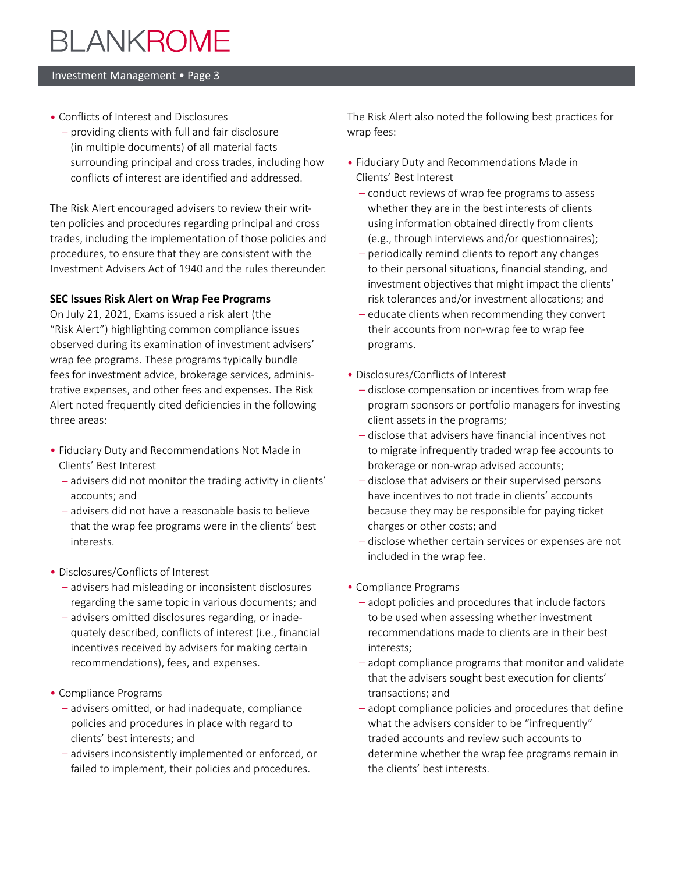#### Investment Management • Page 3

- •   Conflicts of Interest and Disclosures
	- –   providing clients with full and fair disclosure (in multiple documents) of all material facts surrounding principal and cross trades, including how conflicts of interest are identified and addressed.

The Risk Alert encouraged advisers to review their written policies and procedures regarding principal and cross trades, including the implementation of those policies and procedures, to ensure that they are consistent with the Investment Advisers Act of 1940 and the rules thereunder.

### **SEC Issues Risk Alert on Wrap Fee Programs**

On July 21, 2021, Exams issued a risk alert (the "Risk Alert") highlighting common compliance issues observed during its examination of investment advisers' wrap fee programs. These programs typically bundle fees for investment advice, brokerage services, administrative expenses, and other fees and expenses. The Risk Alert noted frequently cited deficiencies in the following three areas:

- •   Fiduciary Duty and Recommendations Not Made in Clients' Best Interest
	- –   advisers did not monitor the trading activity in clients' accounts; and
	- –   advisers did not have a reasonable basis to believe that the wrap fee programs were in the clients' best interests.
- Disclosures/Conflicts of Interest
	- –   advisers had misleading or inconsistent disclosures regarding the same topic in various documents; and
	- –   advisers omitted disclosures regarding, or inadequately described, conflicts of interest (i.e., financial incentives received by advisers for making certain recommendations), fees, and expenses.
- •   Compliance Programs
	- –   advisers omitted, or had inadequate, compliance policies and procedures in place with regard to clients' best interests; and
	- –   advisers inconsistently implemented or enforced, or failed to implement, their policies and procedures.

The Risk Alert also noted the following best practices for wrap fees:

- •   Fiduciary Duty and Recommendations Made in Clients' Best Interest
	- –   conduct reviews of wrap fee programs to assess whether they are in the best interests of clients using information obtained directly from clients (e.g., through interviews and/or questionnaires);
	- –   periodically remind clients to report any changes to their personal situations, financial standing, and investment objectives that might impact the clients' risk tolerances and/or investment allocations; and
	- –   educate clients when recommending they convert their accounts from non-wrap fee to wrap fee programs.
- •   Disclosures/Conflicts of Interest
	- –   disclose compensation or incentives from wrap fee program sponsors or portfolio managers for investing client assets in the programs;
	- –   disclose that advisers have financial incentives not to migrate infrequently traded wrap fee accounts to brokerage or non-wrap advised accounts;
	- –   disclose that advisers or their supervised persons have incentives to not trade in clients' accounts because they may be responsible for paying ticket charges or other costs; and
	- –   disclose whether certain services or expenses are not included in the wrap fee.
- Compliance Programs
	- –   adopt policies and procedures that include factors to be used when assessing whether investment recommendations made to clients are in their best interests;
	- –   adopt compliance programs that monitor and validate that the advisers sought best execution for clients' transactions; and
	- –   adopt compliance policies and procedures that define what the advisers consider to be "infrequently" traded accounts and review such accounts to determine whether the wrap fee programs remain in the clients' best interests.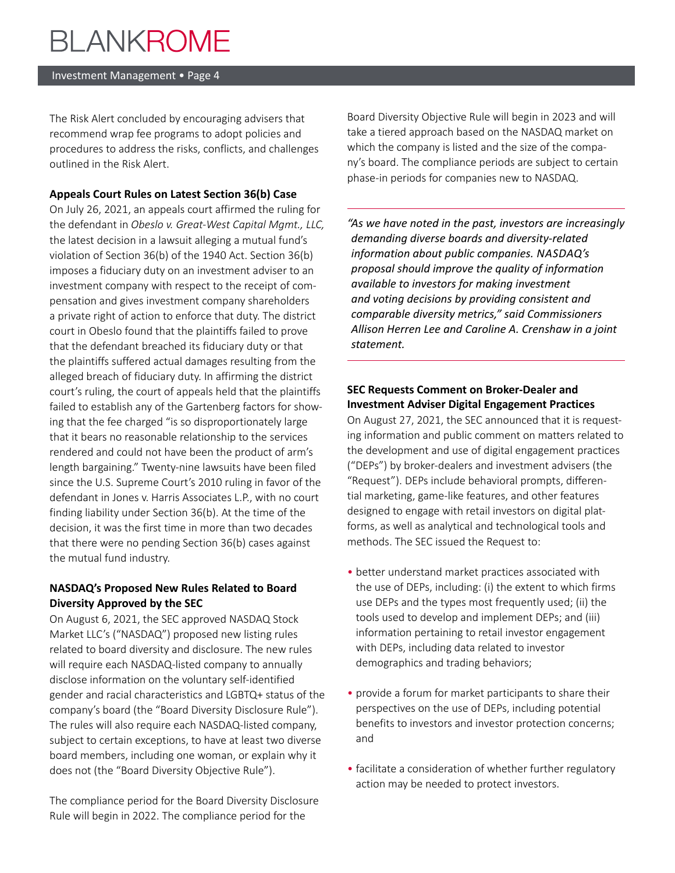#### Investment Management • Page 4

The Risk Alert concluded by encouraging advisers that recommend wrap fee programs to adopt policies and procedures to address the risks, conflicts, and challenges outlined in the Risk Alert.

### **Appeals Court Rules on Latest Section 36(b) Case**

On July 26, 2021, an appeals court affirmed the ruling for the defendant in *Obeslo v. Great-West Capital Mgmt., LLC,*  the latest decision in a lawsuit alleging a mutual fund's violation of Section 36(b) of the 1940 Act. Section 36(b) imposes a fiduciary duty on an investment adviser to an investment company with respect to the receipt of compensation and gives investment company shareholders a private right of action to enforce that duty. The district court in Obeslo found that the plaintiffs failed to prove that the defendant breached its fiduciary duty or that the plaintiffs suffered actual damages resulting from the alleged breach of fiduciary duty. In affirming the district court's ruling, the court of appeals held that the plaintiffs failed to establish any of the Gartenberg factors for showing that the fee charged "is so disproportionately large that it bears no reasonable relationship to the services rendered and could not have been the product of arm's length bargaining." Twenty-nine lawsuits have been filed since the U.S. Supreme Court's 2010 ruling in favor of the defendant in Jones v. Harris Associates L.P., with no court finding liability under Section 36(b). At the time of the decision, it was the first time in more than two decades that there were no pending Section 36(b) cases against the mutual fund industry.

## **NASDAQ's Proposed New Rules Related to Board Diversity Approved by the SEC**

On August 6, 2021, the SEC approved NASDAQ Stock Market LLC's ("NASDAQ") proposed new listing rules related to board diversity and disclosure. The new rules will require each NASDAQ-listed company to annually disclose information on the voluntary self-identified gender and racial characteristics and LGBTQ+ status of the company's board (the "Board Diversity Disclosure Rule"). The rules will also require each NASDAQ-listed company, subject to certain exceptions, to have at least two diverse board members, including one woman, or explain why it does not (the "Board Diversity Objective Rule").

The compliance period for the Board Diversity Disclosure Rule will begin in 2022. The compliance period for the

Board Diversity Objective Rule will begin in 2023 and will take a tiered approach based on the NASDAQ market on which the company is listed and the size of the company's board. The compliance periods are subject to certain phase-in periods for companies new to NASDAQ.

*"As we have noted in the past, investors are increasingly demanding diverse boards and diversity-related information about public companies. NASDAQ's proposal should improve the quality of information available to investors for making investment and voting decisions by providing consistent and comparable diversity metrics," said Commissioners Allison Herren Lee and Caroline A. Crenshaw in a joint statement.*

## **SEC Requests Comment on Broker-Dealer and Investment Adviser Digital Engagement Practices**

On August 27, 2021, the SEC announced that it is requesting information and public comment on matters related to the development and use of digital engagement practices ("DEPs") by broker-dealers and investment advisers (the "Request"). DEPs include behavioral prompts, differential marketing, game-like features, and other features designed to engage with retail investors on digital platforms, as well as analytical and technological tools and methods. The SEC issued the Request to:

- •   better understand market practices associated with the use of DEPs, including: (i) the extent to which firms use DEPs and the types most frequently used; (ii) the tools used to develop and implement DEPs; and (iii) information pertaining to retail investor engagement with DEPs, including data related to investor demographics and trading behaviors;
- provide a forum for market participants to share their perspectives on the use of DEPs, including potential benefits to investors and investor protection concerns; and
- •   facilitate a consideration of whether further regulatory action may be needed to protect investors.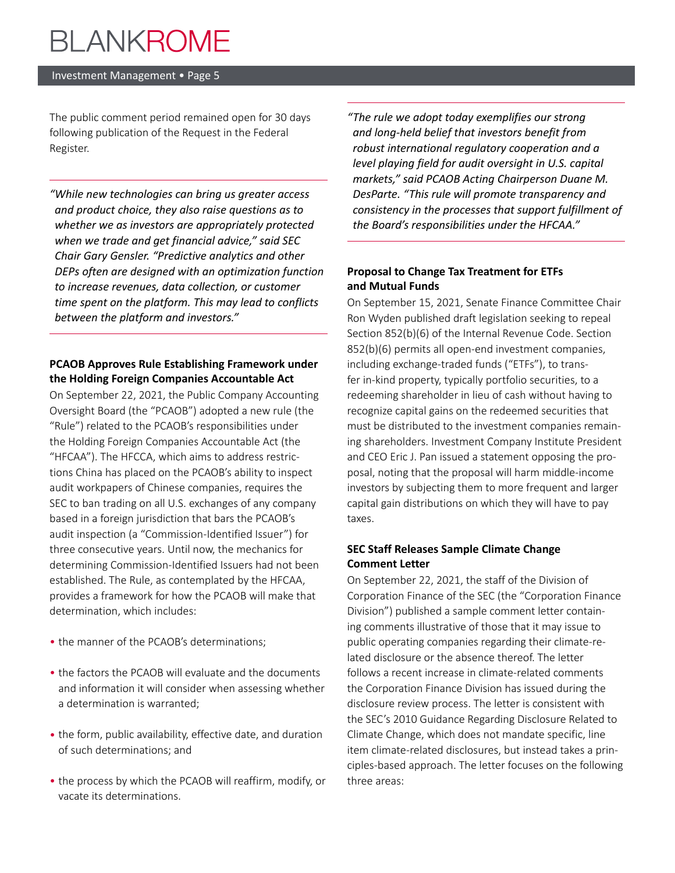#### Investment Management • Page 5

The public comment period remained open for 30 days following publication of the Request in the Federal Register.

*"While new technologies can bring us greater access and product choice, they also raise questions as to whether we as investors are appropriately protected when we trade and get financial advice," said SEC Chair Gary Gensler. "Predictive analytics and other DEPs often are designed with an optimization function to increase revenues, data collection, or customer time spent on the platform. This may lead to conflicts between the platform and investors."*

## **PCAOB Approves Rule Establishing Framework under the Holding Foreign Companies Accountable Act**

On September 22, 2021, the Public Company Accounting Oversight Board (the "PCAOB") adopted a new rule (the "Rule") related to the PCAOB's responsibilities under the Holding Foreign Companies Accountable Act (the "HFCAA"). The HFCCA, which aims to address restrictions China has placed on the PCAOB's ability to inspect audit workpapers of Chinese companies, requires the SEC to ban trading on all U.S. exchanges of any company based in a foreign jurisdiction that bars the PCAOB's audit inspection (a "Commission-Identified Issuer") for three consecutive years. Until now, the mechanics for determining Commission-Identified Issuers had not been established. The Rule, as contemplated by the HFCAA, provides a framework for how the PCAOB will make that determination, which includes:

- the manner of the PCAOB's determinations;
- •   the factors the PCAOB will evaluate and the documents and information it will consider when assessing whether a determination is warranted;
- •   the form, public availability, effective date, and duration of such determinations; and
- •   the process by which the PCAOB will reaffirm, modify, or vacate its determinations.

*"The rule we adopt today exemplifies our strong and long-held belief that investors benefit from robust international regulatory cooperation and a level playing field for audit oversight in U.S. capital markets," said PCAOB Acting Chairperson Duane M. DesParte. "This rule will promote transparency and consistency in the processes that support fulfillment of the Board's responsibilities under the HFCAA."*

## **Proposal to Change Tax Treatment for ETFs and Mutual Funds**

On September 15, 2021, Senate Finance Committee Chair Ron Wyden published draft legislation seeking to repeal Section 852(b)(6) of the Internal Revenue Code. Section 852(b)(6) permits all open-end investment companies, including exchange-traded funds ("ETFs"), to transfer in-kind property, typically portfolio securities, to a redeeming shareholder in lieu of cash without having to recognize capital gains on the redeemed securities that must be distributed to the investment companies remaining shareholders. Investment Company Institute President and CEO Eric J. Pan issued a statement opposing the proposal, noting that the proposal will harm middle-income investors by subjecting them to more frequent and larger capital gain distributions on which they will have to pay taxes.

## **SEC Staff Releases Sample Climate Change Comment Letter**

On September 22, 2021, the staff of the Division of Corporation Finance of the SEC (the "Corporation Finance Division") published a sample comment letter containing comments illustrative of those that it may issue to public operating companies regarding their climate-related disclosure or the absence thereof. The letter follows a recent increase in climate-related comments the Corporation Finance Division has issued during the disclosure review process. The letter is consistent with the SEC's 2010 Guidance Regarding Disclosure Related to Climate Change, which does not mandate specific, line item climate-related disclosures, but instead takes a principles-based approach. The letter focuses on the following three areas: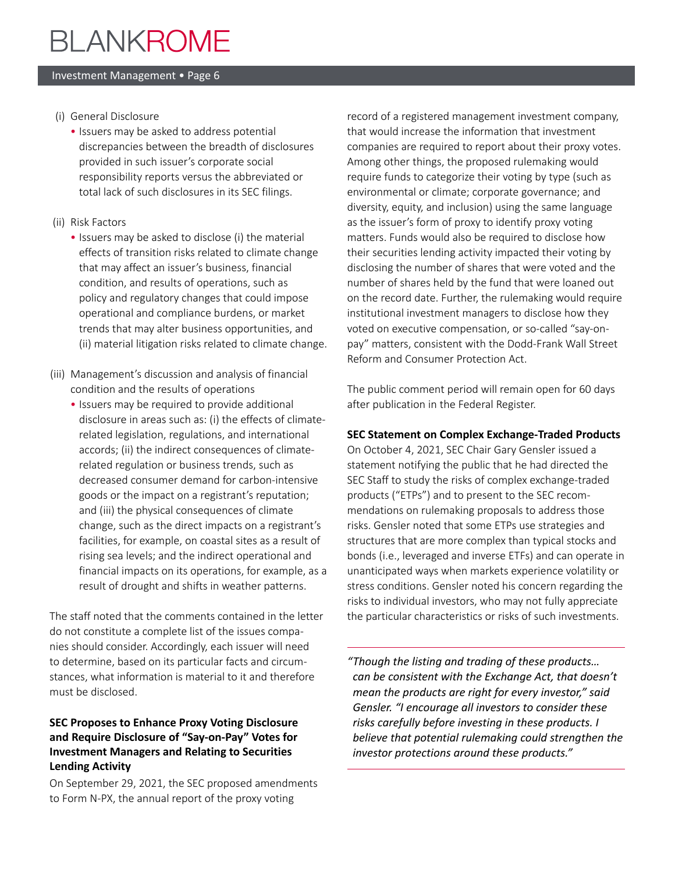#### Investment Management • Page 6

- (i) General Disclosure
	- •   Issuers may be asked to address potential discrepancies between the breadth of disclosures provided in such issuer's corporate social responsibility reports versus the abbreviated or total lack of such disclosures in its SEC filings.
- (ii) Risk Factors
	- Issuers may be asked to disclose (i) the material effects of transition risks related to climate change that may affect an issuer's business, financial condition, and results of operations, such as policy and regulatory changes that could impose operational and compliance burdens, or market trends that may alter business opportunities, and (ii) material litigation risks related to climate change.
- (iii) Management's discussion and analysis of financial condition and the results of operations
	- Issuers may be required to provide additional disclosure in areas such as: (i) the effects of climaterelated legislation, regulations, and international accords; (ii) the indirect consequences of climaterelated regulation or business trends, such as decreased consumer demand for carbon-intensive goods or the impact on a registrant's reputation; and (iii) the physical consequences of climate change, such as the direct impacts on a registrant's facilities, for example, on coastal sites as a result of rising sea levels; and the indirect operational and financial impacts on its operations, for example, as a result of drought and shifts in weather patterns.

The staff noted that the comments contained in the letter do not constitute a complete list of the issues companies should consider. Accordingly, each issuer will need to determine, based on its particular facts and circumstances, what information is material to it and therefore must be disclosed.

## **SEC Proposes to Enhance Proxy Voting Disclosure and Require Disclosure of "Say-on-Pay" Votes for Investment Managers and Relating to Securities Lending Activity**

On September 29, 2021, the SEC proposed amendments to Form N-PX, the annual report of the proxy voting

record of a registered management investment company, that would increase the information that investment companies are required to report about their proxy votes. Among other things, the proposed rulemaking would require funds to categorize their voting by type (such as environmental or climate; corporate governance; and diversity, equity, and inclusion) using the same language as the issuer's form of proxy to identify proxy voting matters. Funds would also be required to disclose how their securities lending activity impacted their voting by disclosing the number of shares that were voted and the number of shares held by the fund that were loaned out on the record date. Further, the rulemaking would require institutional investment managers to disclose how they voted on executive compensation, or so-called "say-onpay" matters, consistent with the Dodd-Frank Wall Street Reform and Consumer Protection Act.

The public comment period will remain open for 60 days after publication in the Federal Register.

## **SEC Statement on Complex Exchange-Traded Products**

On October 4, 2021, SEC Chair Gary Gensler issued a statement notifying the public that he had directed the SEC Staff to study the risks of complex exchange-traded products ("ETPs") and to present to the SEC recommendations on rulemaking proposals to address those risks. Gensler noted that some ETPs use strategies and structures that are more complex than typical stocks and bonds (i.e., leveraged and inverse ETFs) and can operate in unanticipated ways when markets experience volatility or stress conditions. Gensler noted his concern regarding the risks to individual investors, who may not fully appreciate the particular characteristics or risks of such investments.

*"Though the listing and trading of these products… can be consistent with the Exchange Act, that doesn't mean the products are right for every investor," said Gensler. "I encourage all investors to consider these risks carefully before investing in these products. I believe that potential rulemaking could strengthen the investor protections around these products."*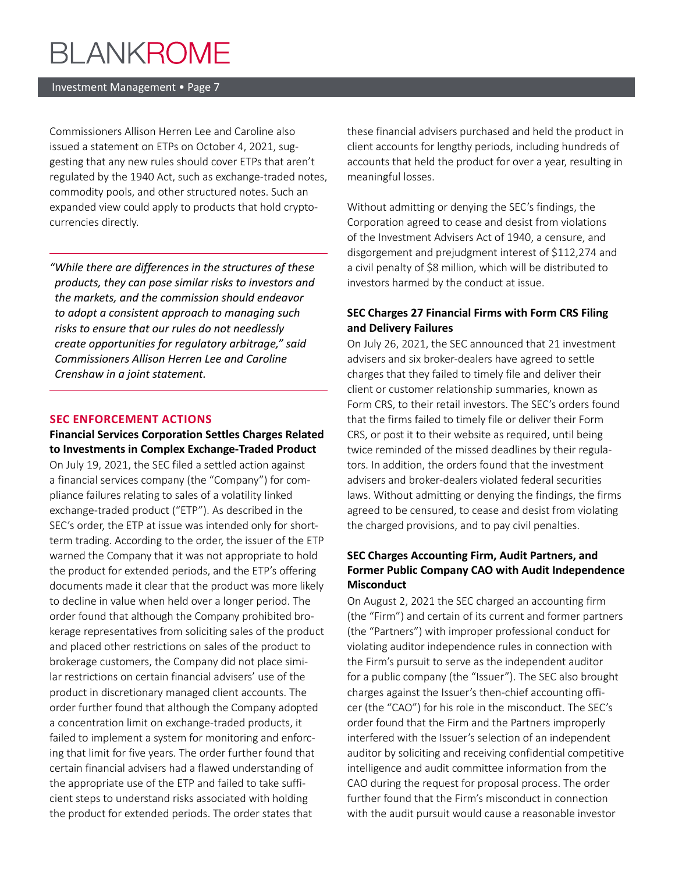#### Investment Management • Page 7

Commissioners Allison Herren Lee and Caroline also issued a statement on ETPs on October 4, 2021, suggesting that any new rules should cover ETPs that aren't regulated by the 1940 Act, such as exchange-traded notes, commodity pools, and other structured notes. Such an expanded view could apply to products that hold cryptocurrencies directly.

*"While there are differences in the structures of these products, they can pose similar risks to investors and the markets, and the commission should endeavor to adopt a consistent approach to managing such risks to ensure that our rules do not needlessly create opportunities for regulatory arbitrage," said Commissioners Allison Herren Lee and Caroline Crenshaw in a joint statement.*

#### **SEC ENFORCEMENT ACTIONS**

**Financial Services Corporation Settles Charges Related to Investments in Complex Exchange-Traded Product**  On July 19, 2021, the SEC filed a settled action against a financial services company (the "Company") for compliance failures relating to sales of a volatility linked exchange-traded product ("ETP"). As described in the SEC's order, the ETP at issue was intended only for shortterm trading. According to the order, the issuer of the ETP warned the Company that it was not appropriate to hold the product for extended periods, and the ETP's offering documents made it clear that the product was more likely to decline in value when held over a longer period. The order found that although the Company prohibited brokerage representatives from soliciting sales of the product and placed other restrictions on sales of the product to brokerage customers, the Company did not place similar restrictions on certain financial advisers' use of the product in discretionary managed client accounts. The order further found that although the Company adopted a concentration limit on exchange-traded products, it failed to implement a system for monitoring and enforcing that limit for five years. The order further found that certain financial advisers had a flawed understanding of the appropriate use of the ETP and failed to take sufficient steps to understand risks associated with holding the product for extended periods. The order states that

these financial advisers purchased and held the product in client accounts for lengthy periods, including hundreds of accounts that held the product for over a year, resulting in meaningful losses.

Without admitting or denying the SEC's findings, the Corporation agreed to cease and desist from violations of the Investment Advisers Act of 1940, a censure, and disgorgement and prejudgment interest of \$112,274 and a civil penalty of \$8 million, which will be distributed to investors harmed by the conduct at issue.

### **SEC Charges 27 Financial Firms with Form CRS Filing and Delivery Failures**

On July 26, 2021, the SEC announced that 21 investment advisers and six broker-dealers have agreed to settle charges that they failed to timely file and deliver their client or customer relationship summaries, known as Form CRS, to their retail investors. The SEC's orders found that the firms failed to timely file or deliver their Form CRS, or post it to their website as required, until being twice reminded of the missed deadlines by their regulators. In addition, the orders found that the investment advisers and broker-dealers violated federal securities laws. Without admitting or denying the findings, the firms agreed to be censured, to cease and desist from violating the charged provisions, and to pay civil penalties.

### **SEC Charges Accounting Firm, Audit Partners, and Former Public Company CAO with Audit Independence Misconduct**

On August 2, 2021 the SEC charged an accounting firm (the "Firm") and certain of its current and former partners (the "Partners") with improper professional conduct for violating auditor independence rules in connection with the Firm's pursuit to serve as the independent auditor for a public company (the "Issuer"). The SEC also brought charges against the Issuer's then-chief accounting officer (the "CAO") for his role in the misconduct. The SEC's order found that the Firm and the Partners improperly interfered with the Issuer's selection of an independent auditor by soliciting and receiving confidential competitive intelligence and audit committee information from the CAO during the request for proposal process. The order further found that the Firm's misconduct in connection with the audit pursuit would cause a reasonable investor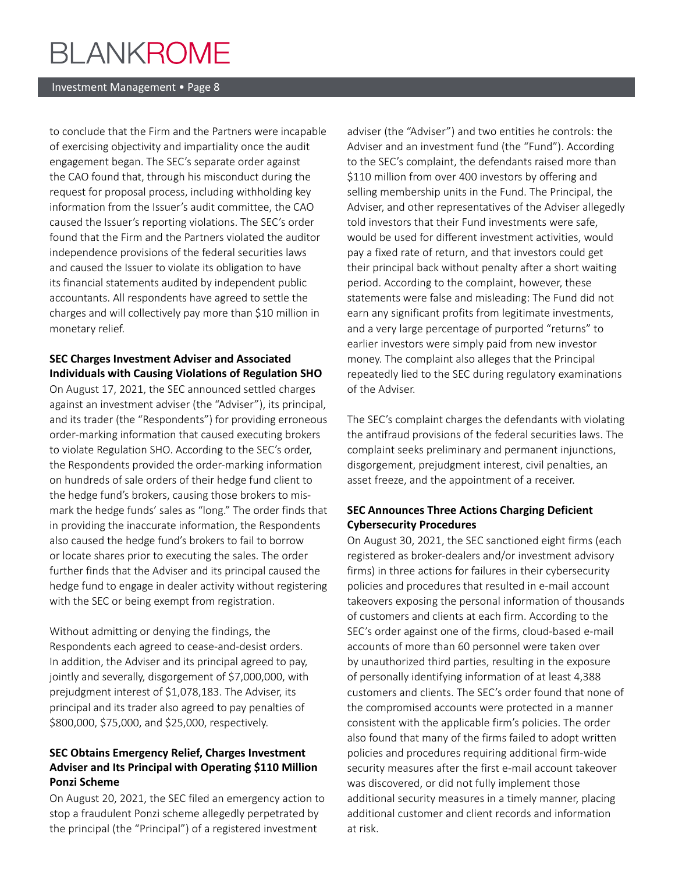#### Investment Management • Page 8

to conclude that the Firm and the Partners were incapable of exercising objectivity and impartiality once the audit engagement began. The SEC's separate order against the CAO found that, through his misconduct during the request for proposal process, including withholding key information from the Issuer's audit committee, the CAO caused the Issuer's reporting violations. The SEC's order found that the Firm and the Partners violated the auditor independence provisions of the federal securities laws and caused the Issuer to violate its obligation to have its financial statements audited by independent public accountants. All respondents have agreed to settle the charges and will collectively pay more than \$10 million in monetary relief.

### **SEC Charges Investment Adviser and Associated Individuals with Causing Violations of Regulation SHO**

On August 17, 2021, the SEC announced settled charges against an investment adviser (the "Adviser"), its principal, and its trader (the "Respondents") for providing erroneous order-marking information that caused executing brokers to violate Regulation SHO. According to the SEC's order, the Respondents provided the order-marking information on hundreds of sale orders of their hedge fund client to the hedge fund's brokers, causing those brokers to mismark the hedge funds' sales as "long." The order finds that in providing the inaccurate information, the Respondents also caused the hedge fund's brokers to fail to borrow or locate shares prior to executing the sales. The order further finds that the Adviser and its principal caused the hedge fund to engage in dealer activity without registering with the SEC or being exempt from registration.

Without admitting or denying the findings, the Respondents each agreed to cease-and-desist orders. In addition, the Adviser and its principal agreed to pay, jointly and severally, disgorgement of \$7,000,000, with prejudgment interest of \$1,078,183. The Adviser, its principal and its trader also agreed to pay penalties of \$800,000, \$75,000, and \$25,000, respectively.

## **SEC Obtains Emergency Relief, Charges Investment Adviser and Its Principal with Operating \$110 Million Ponzi Scheme**

On August 20, 2021, the SEC filed an emergency action to stop a fraudulent Ponzi scheme allegedly perpetrated by the principal (the "Principal") of a registered investment

adviser (the "Adviser") and two entities he controls: the Adviser and an investment fund (the "Fund"). According to the SEC's complaint, the defendants raised more than \$110 million from over 400 investors by offering and selling membership units in the Fund. The Principal, the Adviser, and other representatives of the Adviser allegedly told investors that their Fund investments were safe, would be used for different investment activities, would pay a fixed rate of return, and that investors could get their principal back without penalty after a short waiting period. According to the complaint, however, these statements were false and misleading: The Fund did not earn any significant profits from legitimate investments, and a very large percentage of purported "returns" to earlier investors were simply paid from new investor money. The complaint also alleges that the Principal repeatedly lied to the SEC during regulatory examinations of the Adviser.

The SEC's complaint charges the defendants with violating the antifraud provisions of the federal securities laws. The complaint seeks preliminary and permanent injunctions, disgorgement, prejudgment interest, civil penalties, an asset freeze, and the appointment of a receiver.

### **SEC Announces Three Actions Charging Deficient Cybersecurity Procedures**

On August 30, 2021, the SEC sanctioned eight firms (each registered as broker-dealers and/or investment advisory firms) in three actions for failures in their cybersecurity policies and procedures that resulted in e-mail account takeovers exposing the personal information of thousands of customers and clients at each firm. According to the SEC's order against one of the firms, cloud-based e-mail accounts of more than 60 personnel were taken over by unauthorized third parties, resulting in the exposure of personally identifying information of at least 4,388 customers and clients. The SEC's order found that none of the compromised accounts were protected in a manner consistent with the applicable firm's policies. The order also found that many of the firms failed to adopt written policies and procedures requiring additional firm-wide security measures after the first e-mail account takeover was discovered, or did not fully implement those additional security measures in a timely manner, placing additional customer and client records and information at risk.